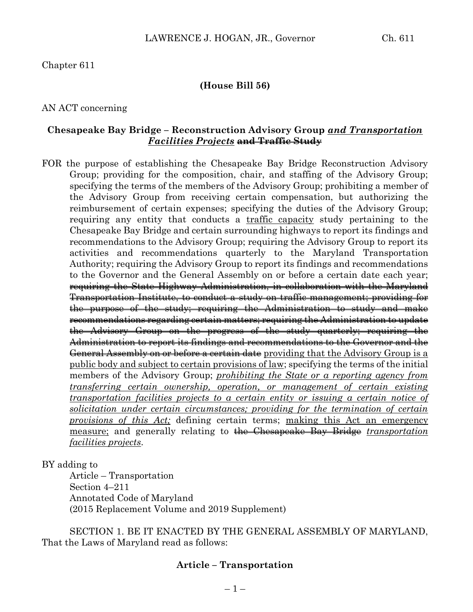## Chapter 611

#### **(House Bill 56)**

#### AN ACT concerning

#### **Chesapeake Bay Bridge – Reconstruction Advisory Group** *and Transportation Facilities Projects* **and Traffic Study**

FOR the purpose of establishing the Chesapeake Bay Bridge Reconstruction Advisory Group; providing for the composition, chair, and staffing of the Advisory Group; specifying the terms of the members of the Advisory Group; prohibiting a member of the Advisory Group from receiving certain compensation, but authorizing the reimbursement of certain expenses; specifying the duties of the Advisory Group; requiring any entity that conducts a traffic capacity study pertaining to the Chesapeake Bay Bridge and certain surrounding highways to report its findings and recommendations to the Advisory Group; requiring the Advisory Group to report its activities and recommendations quarterly to the Maryland Transportation Authority; requiring the Advisory Group to report its findings and recommendations to the Governor and the General Assembly on or before a certain date each year; requiring the State Highway Administration, in collaboration with the Maryland Transportation Institute, to conduct a study on traffic management; providing for the purpose of the study; requiring the Administration to study and make recommendations regarding certain matters; requiring the Administration to update the Advisory Group on the progress of the study quarterly; requiring the Administration to report its findings and recommendations to the Governor and the General Assembly on or before a certain date providing that the Advisory Group is a public body and subject to certain provisions of law; specifying the terms of the initial members of the Advisory Group; *prohibiting the State or a reporting agency from transferring certain ownership, operation, or management of certain existing transportation facilities projects to a certain entity or issuing a certain notice of solicitation under certain circumstances; providing for the termination of certain provisions of this Act;* defining certain terms; making this Act an emergency measure; and generally relating to the Chesapeake Bay Bridge *transportation facilities projects*.

#### BY adding to

Article – Transportation Section 4–211 Annotated Code of Maryland (2015 Replacement Volume and 2019 Supplement)

SECTION 1. BE IT ENACTED BY THE GENERAL ASSEMBLY OF MARYLAND, That the Laws of Maryland read as follows:

### **Article – Transportation**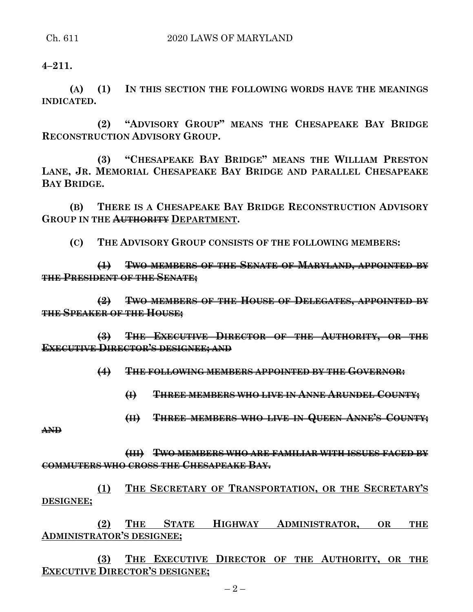**4–211.**

**(A) (1) IN THIS SECTION THE FOLLOWING WORDS HAVE THE MEANINGS INDICATED.**

**(2) "ADVISORY GROUP" MEANS THE CHESAPEAKE BAY BRIDGE RECONSTRUCTION ADVISORY GROUP.**

**(3) "CHESAPEAKE BAY BRIDGE" MEANS THE WILLIAM PRESTON LANE, JR. MEMORIAL CHESAPEAKE BAY BRIDGE AND PARALLEL CHESAPEAKE BAY BRIDGE.**

**(B) THERE IS A CHESAPEAKE BAY BRIDGE RECONSTRUCTION ADVISORY GROUP IN THE AUTHORITY DEPARTMENT.**

**(C) THE ADVISORY GROUP CONSISTS OF THE FOLLOWING MEMBERS:**

**(1) TWO MEMBERS OF THE SENATE OF MARYLAND, APPOINTED BY THE PRESIDENT OF THE SENATE;**

**(2) TWO MEMBERS OF THE HOUSE OF DELEGATES, APPOINTED BY THE SPEAKER OF THE HOUSE;**

**(3) THE EXECUTIVE DIRECTOR OF THE AUTHORITY, OR THE EXECUTIVE DIRECTOR'S DESIGNEE; AND**

**(4) THE FOLLOWING MEMBERS APPOINTED BY THE GOVERNOR:**

**(I) THREE MEMBERS WHO LIVE IN ANNE ARUNDEL COUNTY;**

**(II) THREE MEMBERS WHO LIVE IN QUEEN ANNE'S COUNTY;**

**AND**

**(III) TWO MEMBERS WHO ARE FAMILIAR WITH ISSUES FACED BY COMMUTERS WHO CROSS THE CHESAPEAKE BAY.**

**(1) THE SECRETARY OF TRANSPORTATION, OR THE SECRETARY'S DESIGNEE;**

**(2) THE STATE HIGHWAY ADMINISTRATOR, OR THE ADMINISTRATOR'S DESIGNEE;**

**(3) THE EXECUTIVE DIRECTOR OF THE AUTHORITY, OR THE EXECUTIVE DIRECTOR'S DESIGNEE;**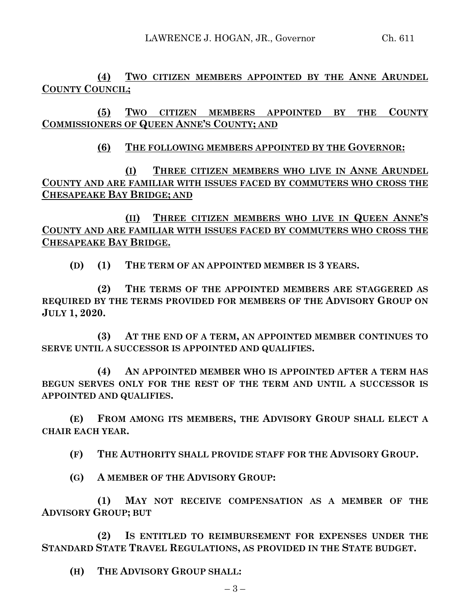**(4) TWO CITIZEN MEMBERS APPOINTED BY THE ANNE ARUNDEL COUNTY COUNCIL;**

**(5) TWO CITIZEN MEMBERS APPOINTED BY THE COUNTY COMMISSIONERS OF QUEEN ANNE'S COUNTY; AND**

# **(6) THE FOLLOWING MEMBERS APPOINTED BY THE GOVERNOR:**

**(I) THREE CITIZEN MEMBERS WHO LIVE IN ANNE ARUNDEL COUNTY AND ARE FAMILIAR WITH ISSUES FACED BY COMMUTERS WHO CROSS THE CHESAPEAKE BAY BRIDGE; AND**

**(II) THREE CITIZEN MEMBERS WHO LIVE IN QUEEN ANNE'S COUNTY AND ARE FAMILIAR WITH ISSUES FACED BY COMMUTERS WHO CROSS THE CHESAPEAKE BAY BRIDGE.**

**(D) (1) THE TERM OF AN APPOINTED MEMBER IS 3 YEARS.**

**(2) THE TERMS OF THE APPOINTED MEMBERS ARE STAGGERED AS REQUIRED BY THE TERMS PROVIDED FOR MEMBERS OF THE ADVISORY GROUP ON JULY 1, 2020.**

**(3) AT THE END OF A TERM, AN APPOINTED MEMBER CONTINUES TO SERVE UNTIL A SUCCESSOR IS APPOINTED AND QUALIFIES.**

**(4) AN APPOINTED MEMBER WHO IS APPOINTED AFTER A TERM HAS BEGUN SERVES ONLY FOR THE REST OF THE TERM AND UNTIL A SUCCESSOR IS APPOINTED AND QUALIFIES.**

**(E) FROM AMONG ITS MEMBERS, THE ADVISORY GROUP SHALL ELECT A CHAIR EACH YEAR.**

**(F) THE AUTHORITY SHALL PROVIDE STAFF FOR THE ADVISORY GROUP.**

**(G) A MEMBER OF THE ADVISORY GROUP:**

**(1) MAY NOT RECEIVE COMPENSATION AS A MEMBER OF THE ADVISORY GROUP; BUT** 

**(2) IS ENTITLED TO REIMBURSEMENT FOR EXPENSES UNDER THE STANDARD STATE TRAVEL REGULATIONS, AS PROVIDED IN THE STATE BUDGET.**

**(H) THE ADVISORY GROUP SHALL:**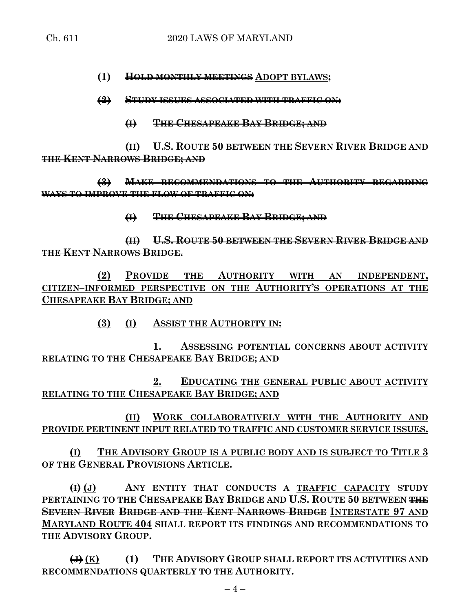**(1) HOLD MONTHLY MEETINGS ADOPT BYLAWS;**

**(2) STUDY ISSUES ASSOCIATED WITH TRAFFIC ON:**

**(I) THE CHESAPEAKE BAY BRIDGE; AND**

**(II) U.S. ROUTE 50 BETWEEN THE SEVERN RIVER BRIDGE AND THE KENT NARROWS BRIDGE; AND**

**(3) MAKE RECOMMENDATIONS TO THE AUTHORITY REGARDING WAYS TO IMPROVE THE FLOW OF TRAFFIC ON:**

**(I) THE CHESAPEAKE BAY BRIDGE; AND**

**(II) U.S. ROUTE 50 BETWEEN THE SEVERN RIVER BRIDGE AND THE KENT NARROWS BRIDGE.**

**(2) PROVIDE THE AUTHORITY WITH AN INDEPENDENT, CITIZEN–INFORMED PERSPECTIVE ON THE AUTHORITY'S OPERATIONS AT THE CHESAPEAKE BAY BRIDGE; AND**

**(3) (I) ASSIST THE AUTHORITY IN:**

**1. ASSESSING POTENTIAL CONCERNS ABOUT ACTIVITY RELATING TO THE CHESAPEAKE BAY BRIDGE; AND**

**2. EDUCATING THE GENERAL PUBLIC ABOUT ACTIVITY RELATING TO THE CHESAPEAKE BAY BRIDGE; AND**

**(II) WORK COLLABORATIVELY WITH THE AUTHORITY AND PROVIDE PERTINENT INPUT RELATED TO TRAFFIC AND CUSTOMER SERVICE ISSUES.**

**(I) THE ADVISORY GROUP IS A PUBLIC BODY AND IS SUBJECT TO TITLE 3 OF THE GENERAL PROVISIONS ARTICLE.**

**(I) (J) ANY ENTITY THAT CONDUCTS A TRAFFIC CAPACITY STUDY PERTAINING TO THE CHESAPEAKE BAY BRIDGE AND U.S. ROUTE 50 BETWEEN THE SEVERN RIVER BRIDGE AND THE KENT NARROWS BRIDGE INTERSTATE 97 AND MARYLAND ROUTE 404 SHALL REPORT ITS FINDINGS AND RECOMMENDATIONS TO THE ADVISORY GROUP.**

**(J) (K) (1) THE ADVISORY GROUP SHALL REPORT ITS ACTIVITIES AND RECOMMENDATIONS QUARTERLY TO THE AUTHORITY.**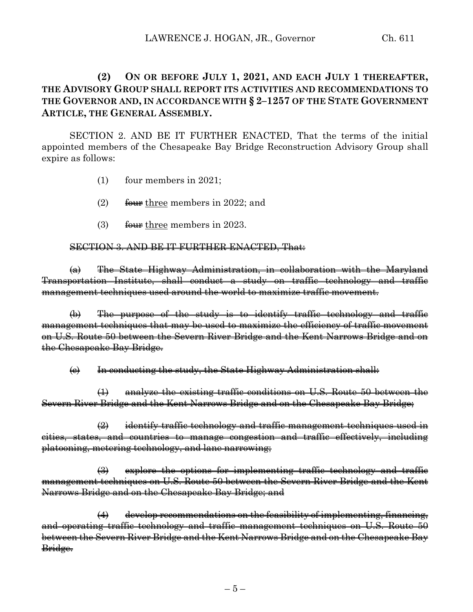# **(2) ON OR BEFORE JULY 1, 2021, AND EACH JULY 1 THEREAFTER, THE ADVISORY GROUP SHALL REPORT ITS ACTIVITIES AND RECOMMENDATIONS TO THE GOVERNOR AND, IN ACCORDANCE WITH § 2–1257 OF THE STATE GOVERNMENT ARTICLE, THE GENERAL ASSEMBLY.**

SECTION 2. AND BE IT FURTHER ENACTED, That the terms of the initial appointed members of the Chesapeake Bay Bridge Reconstruction Advisory Group shall expire as follows:

- (1) four members in 2021;
- (2)  $\frac{6}{2}$  four three members in 2022; and
- (3) four three members in 2023.

#### SECTION 3. AND BE IT FURTHER ENACTED, That:

(a) The State Highway Administration, in collaboration with the Maryland Transportation Institute, shall conduct a study on traffic technology and traffic management techniques used around the world to maximize traffic movement.

(b) The purpose of the study is to identify traffic technology and traffic management techniques that may be used to maximize the efficiency of traffic movement on U.S. Route 50 between the Severn River Bridge and the Kent Narrows Bridge and on the Chesapeake Bay Bridge.

 $\Theta$  In conducting the study, the State Highway Administration shall:

(1) analyze the existing traffic conditions on U.S. Route 50 between the Severn River Bridge and the Kent Narrows Bridge and on the Chesapeake Bay Bridge;

 $\left( 2 \right)$  identify traffic technology and traffic management techniques used in cities, states, and countries to manage congestion and traffic effectively, including platooning, metering technology, and lane narrowing;

 $\left(\frac{1}{2}\right)$  explore the options for implementing traffic technology and traffic management techniques on U.S. Route 50 between the Severn River Bridge and the Kent Narrows Bridge and on the Chesapeake Bay Bridge; and

 $(4)$  develop recommendations on the feasibility of implementing, financing, and operating traffic technology and traffic management techniques on U.S. Route 50 between the Severn River Bridge and the Kent Narrows Bridge and on the Chesapeake Bay Bridge.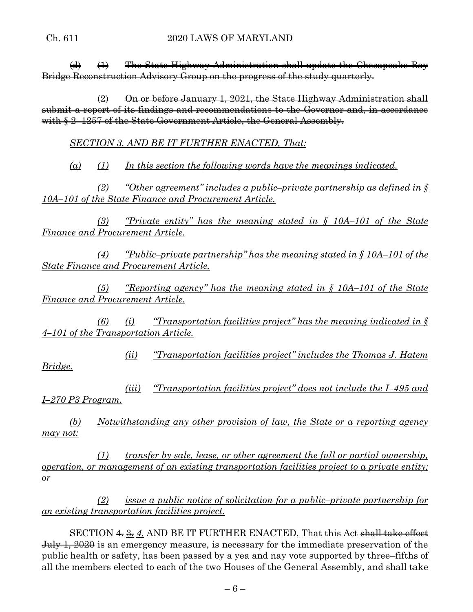$\left(\frac{d}{dt}\right)$  The State Highway Administration shall update the Chesapeake Bay Bridge Reconstruction Advisory Group on the progress of the study quarterly.

 $\left(2\right)$  On or before January 1, 2021, the State Highway Administration shall submit a report of its findings and recommendations to the Governor and, in accordance with  $$2-1257$  of the State Government Article, the General Assembly.

*SECTION 3. AND BE IT FURTHER ENACTED, That:* 

*(a) (1) In this section the following words have the meanings indicated.* 

*(2) "Other agreement" includes a public–private partnership as defined in § 10A–101 of the State Finance and Procurement Article.* 

*(3) "Private entity" has the meaning stated in § 10A–101 of the State Finance and Procurement Article.* 

*(4) "Public–private partnership" has the meaning stated in § 10A–101 of the State Finance and Procurement Article.* 

*(5) "Reporting agency" has the meaning stated in § 10A–101 of the State Finance and Procurement Article.* 

*(6) (i) "Transportation facilities project" has the meaning indicated in § 4–101 of the Transportation Article.* 

*(ii) "Transportation facilities project" includes the Thomas J. Hatem Bridge.* 

*(iii) "Transportation facilities project" does not include the I–495 and I–270 P3 Program.* 

*(b) Notwithstanding any other provision of law, the State or a reporting agency may not:* 

*(1) transfer by sale, lease, or other agreement the full or partial ownership, operation, or management of an existing transportation facilities project to a private entity; or* 

*(2) issue a public notice of solicitation for a public–private partnership for an existing transportation facilities project.* 

SECTION  $\triangleq$  3.4. AND BE IT FURTHER ENACTED, That this Act shall take effect July 1, 2020 is an emergency measure, is necessary for the immediate preservation of the public health or safety, has been passed by a yea and nay vote supported by three–fifths of all the members elected to each of the two Houses of the General Assembly, and shall take